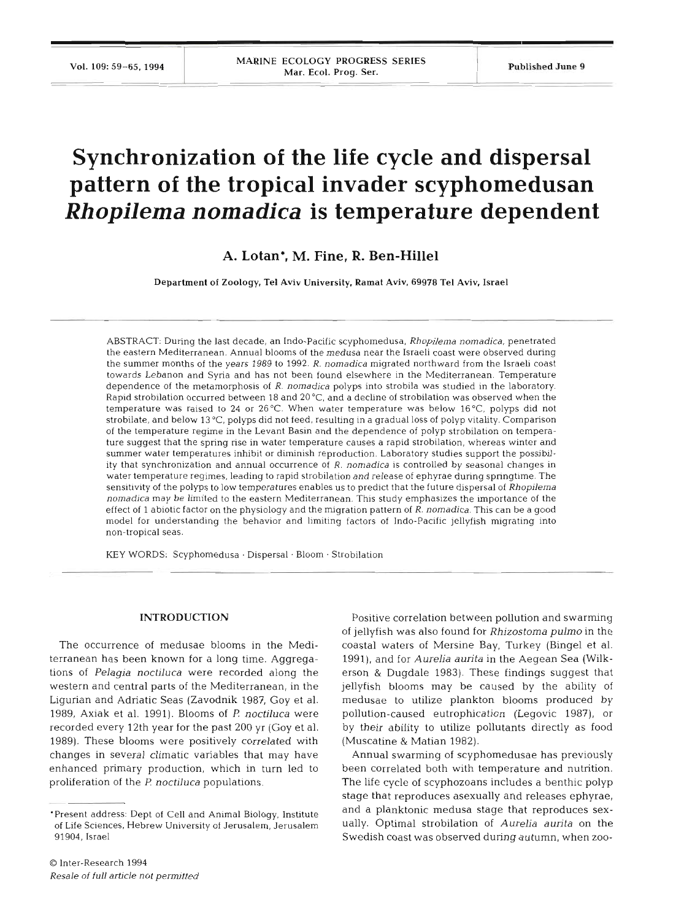# **Synchronization of the life cycle and dispersal pattern of the tropical invader scyphomedusan**  *Rhopilema nomadica* **is temperature dependent**

# **A. Lotan\*, M. Fine, R. Ben-Hillel**

Department **of** Zoology. Tel Aviv University. Ramat Aviv. **69978** Tel Aviv. Israel

ABSTRACT: During the last decade, an Indo-Pacific scyphomedusa, Rhopilema nomadica, penetrated the eastern Mediterranean. Annual blooms of the medusa near the Israeli coast were observed during the summer months of the years 1989 to 1992. *R.* nomadjca migrated northward from the Israeli coast towards Lebanon and Syria and has not been found elsewhere in the Mediterranean. Temperature dependence of the metamorphosis of R. nornadica polyps into strobila was studied in the laboratory. Rapid strobilation occurred between **18** and **20°C** and a decline of strobilation was observed when the temperature was raised to 24 or 26 °C. When water temperature was below 16 °C, polyps did not strobilate, and below 13 °C, polyps did not feed, resulting in a gradual loss of polyp vitality. Comparison of the temperature regime in the Levant Basin and the dependence of polyp strobilation on temperature suggest that the spring rise in water temperature causes a rapid strobilation, whereas winter and summer water temperatures inhibit or diminish reproduction. Laboratory studies support the possibility that synchronization and annual occurrence of  $R$ . nomadica is controlled by seasonal changes in water temperature regimes, leading to rapid strobilation and release of ephyrae during springtime. The sensitivity of the polyps to low temperatures enables us to predict that the future dispersal of Rhopilema nornadica may be limited to the eastern Mediterranean. This study emphasizes the importance of the effect of 1 abiotic factor on the physiology and the migration pattern of  $R$ . nomadica. This can be a good model for understanding the behavior and limiting factors of Indo-Pacific jellyfish migrating into non-tropical seas.

**KEY** WORDS: Scyphomedusa . Dispersal . Bloom . Strobilation

#### **INTRODUCTION**

The occurrence of medusae blooms in the Mediterranean has been known for a long time. Aggregations of *Pelagia noctiluca* were recorded along the western and central parts of the Mediterranean, in the Ligurian and Adriatic Seas (Zavodnik 1987, Goy et al. 1989, Axiak et al. 1991). Blooms of P. noctiluca were recorded every 12th year for the past 200 yr (Goy et al. 1989). These blooms were positively correlated with changes in several climatic variables that may have enhanced primary production, which in turn led to proliferation of the F! *noctiluca* populations.

Positive correlation between pollution and swarming of jellyfish was also found for *Rhizostoma pulmo* in the coastal waters of Mersine Bay, Turkey (Bingel et al. 1991), and for *Aurelia aunta* in the Aegean Sea (Wilkerson & Dugdale 1983). These findings suggest that jellyfish blooms may be caused by the ability of medusae to utilize plankton blooms produced by pollution-caused eutrophication (Legovic 1987), or by their ability to utilize pollutants directly as food (Muscatine & Matian 1982).

Annual swarming of scyphomedusae has previously been correlated both with temperature and nutrition. The life cycle of scyphozoans includes a benthic polyp stage that reproduces asexually and releases ephyrae, and a planktonic medusa stage that reproduces sexually. Optimal strobilation of *Aurelia aurita* on the Swedish coast was observed during autumn, when zoo-

<sup>&#</sup>x27;Present address: Dept of Cell and Animal Biology, Institute of Life Sciences, Hebrew University of Jerusalem, Jerusalem 91904, Israel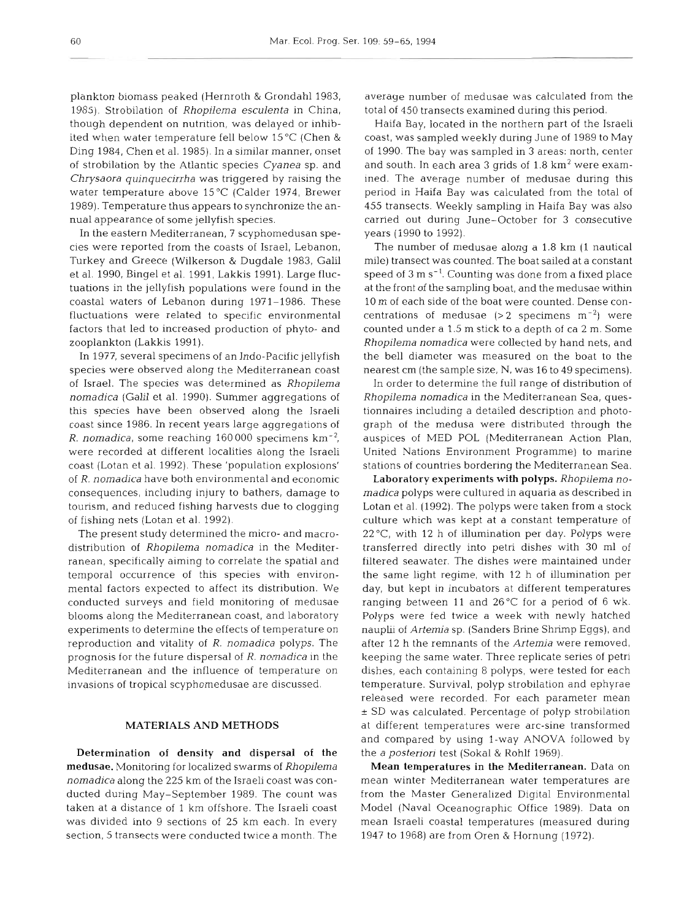plankton biomass peaked (Hernroth & Grondahl 1983, 1985). Strobilation of *Rhopilema esculenta* in China, though dependent on nutrition, was delayed or inhibited when water temperature fell below 15 "C (Chen & Ding 1984, Chen et al. 1985). In a similar manner, onset of strobilation by the Atlantic species *Cyanea* sp. and *Chrysaora quinquecirrha* was triggered by raising the water temperature above 15°C (Calder 1974, Brewer 1989). Temperature thus appears to synchronize the annual appearance of some jellyfish species.

In the eastern Mediterranean, 7 scyphomedusan species were reported from the coasts of Israel, Lebanon, Turkey and Greece (Wilkerson & Dugdale 1983, Galil et al. 1990, Bingel et al. 1991, Lakkis 1991). Large fluctuations in the jellyfish populations were found in the coastal waters of Lebanon during 1971-1986. These fluctuations were related to specific environmental factors that led to increased production of phyto- and zooplankton (Lakkis 1991).

In 1977, several specimens of an Indo-Pacific jellyfish species were observed along the Mediterranean coast of Israel. The species was determined as *Rhopilema nomadica* (Galil et al. 1990). Summer aggregations of this species have been observed along the Israeli coast since 1986. In recent years large aggregations of R. *nomadica,* some reaching 160 000 specimens km-2, were recorded at different localities along the Israeli coast (Lotan et al. 1992). These 'population explosions' of *R. nomadica* have both environmental and economic consequences, including injury to bathers, damage to tourism, and reduced fishing harvests due to clogging of fishing nets (Lotan et al. 1992).

The present study determined the micro- and macrodistribution of *Rhopilema nomadica* in the Mediterranean, specifically aiming to correlate the spatial and temporal occurrence of this species with environmental factors expected to affect its distribution. We conducted surveys and field monitoring of medusae blooms along the Mediterranean coast, and laboratory experiments to determine the effects of temperature on reproduction and vitality of *R. nomadica* polyps. The prognosis for the future dispersal of *R. nomadica* in the Mediterranean and the influence of temperature on invasions of tropical scyphomedusae are discussed.

#### MATERIALS AND **METHODS**

Determination of density and dispersal of the medusae. Monitoring for localized swarms of *Rhopilema nomadica* along the *225* km of the Israeli coast was conducted during May-September 1989. The count was taken at a distance of 1 km offshore. The Israeli coast was divided into 9 sections of 25 km each. In every section, 5 transects were conducted twice a month. The

average number of medusae was calculated from the total of 450 transects examined during this period.

Haifa Bay, located in the northern part of the Israeli coast, was sampled weekly during June of 1989 to May of 1990. The bay was sampled in 3 areas: north, center and south. In each area 3 grids of  $1.8 \text{ km}^2$  were examined. The average number of medusae during this period in Haifa Bay was calculated from the total of 455 transects. Weekly sampling in Haifa Bay was also carried out during June-October for 3 consecutive years (i990 to i992).

The number of medusae along a 1.8 km (1 nautical mile) transect was counted. The boat sailed at a constant speed of 3 m s<sup>-1</sup>. Counting was done from a fixed place at the front of the sampling boat, and the medusae within 10 m of each side of the boat were counted. Dense concentrations of medusae  $(> 2$  specimens m<sup>-2</sup>) were counted under a 1.5 m stick to a depth of ca 2 m. Some *Rhopilema nomadica* were collected by hand nets, and the bell diameter was measured on the boat to the nearest cm (the sample size, N, was 16 to 49 specimens).

In order to determine the full range of distribution of *Rhopilema nomadica* in the Mediterranean Sea, questionnaires including a detailed description and photograph of the medusa were distributed through the auspices of MED POL (Mediterranean Action Plan, United Nations Environment Programme) to marine stations of countries bordering the Mediterranean Sea.

Laboratory experiments **with** polyps. *Rhopilema nomadica* polyps were cultured in aquaria as described in Lotan et al. (1992). The polyps were taken from a stock culture which was kept at a constant temperature of 22"C, with 12 h of illumination per day. Polyps were transferred directly into petri dishes with 30 m1 of filtered seawater. The dishes were maintained under the same light regime, with 12 h of illumination per day, but kept in incubators at different temperatures ranging between 11 and 26°C for a period of 6 wk. Polyps were fed twice a week with newly hatched nauplu of *Artemia* sp. (Sanders Brine Shrimp Eggs), and after 12 h the remnants of the *Artemia* were removed, keeping the same water. Three replicate series of petri dishes, each containing 8 polyps, were tested for each temperature. Survival, polyp strobilation and ephyrae released were recorded. For each parameter mean  $\pm$  SD was calculated. Percentage of polyp strobilation at different temperatures were arc-sine transformed and compared by using l-way ANOVA followed by the *a posteriori* test (Sokal & Rohlf 1969).

Mean temperatures in the Mediterranean. Data on mean winter Mediterranean water temperatures are from the Master Generalized Digital Environmental Model (Naval Oceanographic Office 1989). Data on mean Israeli coastal temperatures (measured dunng 1947 to 1968) are from Oren & Hornung (1972).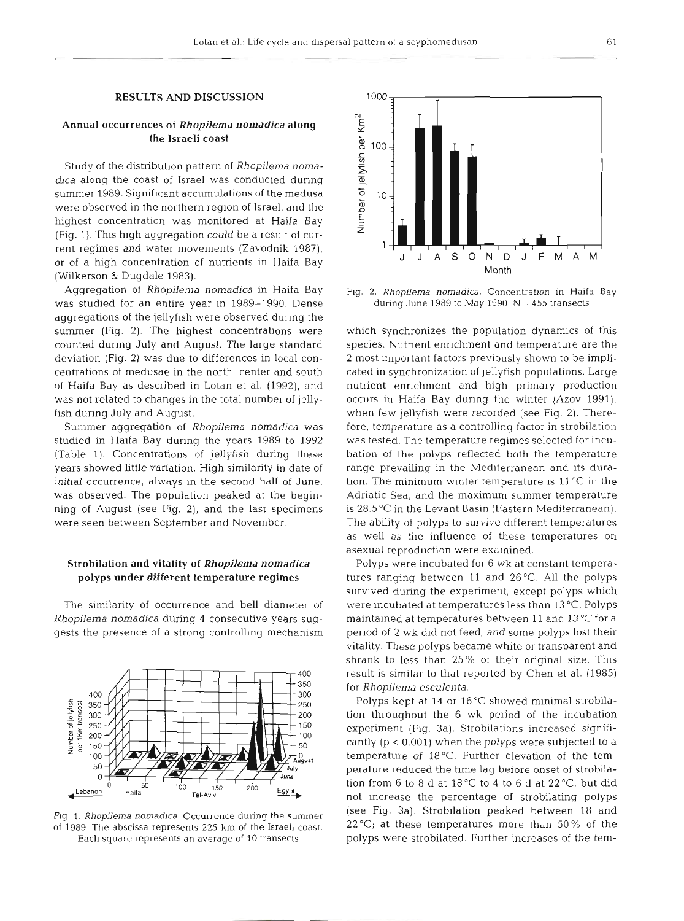### RESULTS AND DISCUSSION

## Annual occurrences of *Rhopilema nomadica* along the Israeli coast

Study of the distribution pattern of *Rhopilema nomadica* along the coast of Israel was conducted during summer 1989. Significant accumulations of the medusa were observed in the northern region of Israel, and the highest concentration was monitored at Haifa Bay (Fig. 1). This high aggregation could be a result of current regimes and water movements (Zavodnik 1987). or of a high concentration of nutrients in Haifa Bay (Wilkerson & Dugdale 1983).

Aggregation of *Rhopilerna nomadica* in Haifa Bay was studied for an entire year in 1989-1990. Dense aggregations of the jellyfish were observed during the summer (Fig. 2). The highest concentrations were counted during July and August. The large standard deviation (Fig. 2) was due to differences in local concentrations of medusae in the north, center and south of Haifa Bay as described in Lotan et al. (1992), and was not related to changes in the total number of jellyfish during July and August.

Summer aggregation of *Rhopilema nomadica* was studied in Haifa Bay during the years 1989 to 1992 (Table 1). Concentrations of jellyfish during these years showed little variation. High similarity in date of initial occurrence, always in the second half of June, was observed. The population peaked at the beginning of August (see Fig. 2), and the last specimens were seen between September and November.

## Strobilation and vitality of *Rhopilema nomadica*  polyps under different temperature regimes

The similarity of occurrence and bell diameter of *Rhopilema nomadica* during *4* consecutive years suggests the presence of a strong controlling mechanism



Fig. 1. *Rhopilema nomadica.* Occurrence during the summer of 1989. The abscissa represents 225 km of the Israeli coast. Each square represents an average of 10 transects



Fig. 2. *Rhopilema nomadica.* Concentration in Haifa Bay during June 1989 to May 1990.  $N = 455$  transects

which synchronizes the population dynamics of this species. Nutrient enrichment and temperature are the 2 most important factors previously shown to be implicated in synchronization of jellyfish populations. Large nutrient enrichment and high primary production occurs in Haifa Bay during the winter (Azov 1991), when few jellyfish were recorded (see Fig. 2). Therefore, temperature as a controlling factor in strobilation was tested. The temperature regimes selected for incubation of the polyps reflected both the temperature range prevailing in the Mediterranean and its duration. The minimum winter temperature is 11 "C in the Adriatic Sea, and the maximum summer temperature is 28.5 "C in the Levant Basin (Eastern Mediterranean). The ability of polyps to survive different temperatures as well as the influence of these temperatures on asexual reproduction were examined.

Polyps were incubated for 6 wk at constant temperatures ranging between 11 and 26°C. All the polyps survived during the experiment, except polyps which were incubated at temperatures less than 13 "C. Polyps maintained at temperatures between 11 and 13°C for a period of 2 wk did not feed, and some polyps lost their vitality. These polyps became white or transparent and shrank to less than 25% of their original size. This result is similar to that reported by Chen et al. (1985) for *Rhopilema esculenta.* 

Polyps kept at 14 or 16°C showed minimal strobilation throughout the 6 wk period of the incubation experiment (Fig. 3a). Strobilations increased significantly  $(p < 0.001)$  when the polyps were subjected to a temperature of 18°C. Further elevation of the temperature reduced the time lag before onset of strobilation from 6 to 8 d at  $18\text{ °C}$  to 4 to 6 d at  $22\text{ °C}$ , but did not increase the percentage of strobilating polyps (see Fig. 3a). Strobilation peaked between 18 and  $22^{\circ}$ C; at these temperatures more than 50% of the polyps were strobilated. Further increases of the tem-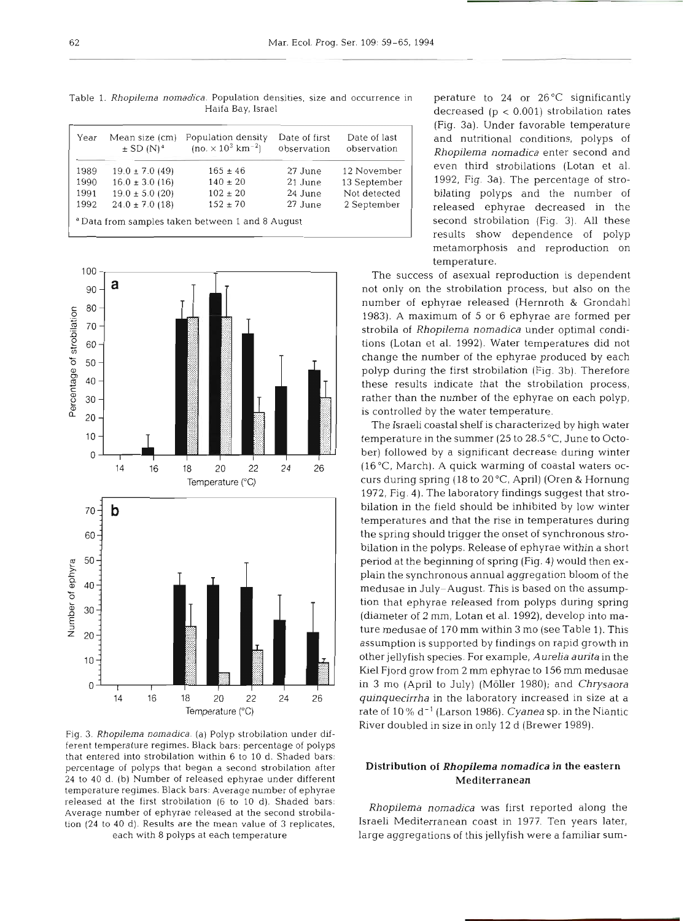Table **1.** Rhopilema nomadica. Population densities, size and o Haifa Bay, Israel

| Year | Mean size (cm)<br>$\pm$ SD $(N)^d$ | Population density<br>$(no. \times 10^3 \text{ km}^{-2})$ | Date of first<br>observation | Date of last<br>observation |
|------|------------------------------------|-----------------------------------------------------------|------------------------------|-----------------------------|
| 1989 | $19.0 \pm 7.0$ (49)                | $165 \pm 46$                                              | 27 June                      | 12 November                 |
| 1990 | $16.0 \pm 3.0$ (16)                | $140 \pm 20$                                              | 21 June                      | 13 September                |
| 1991 | $19.0 \pm 5.0$ (20)                | $102 \pm 20$                                              | 24 June                      | Not detected                |
| 1992 | $24.0 \pm 7.0$ (18)                | $152 \pm 70$                                              | 27 June                      | 2 September                 |



Fig. **3.** Rhopilema nomadica. (a) Polyp strobilation under different temperature regimes. Black bars: percentage of polyps that entered into strobilation within 6 to **10** d. Shaded bars: percentage of polyps that began a second strobilation after 24 to **40** d. (b) Number of released ephyrae under different temperature regimes. Black bars: Average number of ephyrae released at the first strobilation **(6** to 10 d). Shaded bars. Average number of ephyrae released at the second strobilation **(24** to **40** d). Results are the mean value of **3** replicates, each with **8** polyps at each temperature

perature to 24 or 26 $\degree$ C significantly decreased  $(p < 0.001)$  strobilation rates (Fig. 3a). Under favorable temperature and nutritional conditions, polyps of *Rhopilema nomadica* enter second and even third strobilations (Lotan et al. 1992, Fig. 3a). The percentage of strobilating polyps and the number of released ephyrae decreased in the second strobilation (Fig. 3). All these results show dependence of polyp metamorphosis and reproduction on temperature.

The success of asexual reproduction is dependent not only on the strobilation process, but also on the number of ephyrae released (Hernroth & Grondahl 1983). A maximum of 5 or 6 ephyrae are formed per strobila of *Rhopilema nomadica* under optimal conditions (Lotan et al. 1992). Water temperatures did not change the number of the ephyrae produced by each polyp during the first strobilation (Fig. 3b). Therefore these results indicate that the strobilation process, rather than the number of the ephyrae on each polyp, is controlled by the water temperature.

The Israeli coastal shelf is characterized by high water temperature in the summer (25 to 28.5 "C, June to October) followed by a significant decrease during winter  $(16\,^{\circ}\text{C}, \text{March})$ . A quick warming of coastal waters occurs during spring (18 to 20°C, April) (Oren & Hornung 1972, Fig. 4). The laboratory findings suggest that strobilation in the field should be inhibited by low winter temperatures and that the rise in temperatures during the spring should trigger the onset of synchronous strobilation in the polyps. Release of ephyrae within a short period at the beginning of spring (Fig. 4) would then explain the synchronous annual aggregation bloom of the medusae in July-August. This is based on the assumption that ephyrae released from polyps during spring (diameter of 2 mm, Lotan et al. 1992), develop into mature medusae of 170 mm within 3 mo (see Table 1). This assumption is supported by findings on rapid growth in other jellyfish species. For example, *Aurelia aunta* in the Kiel Fjord grow from 2 mm ephyrae to 156 mm medusae in 3 mo (April to July) (Moller 1980); and *Chrysaora quinquecirrha* in the laboratory increased in size at a rate of 10 % d-' (Larson 1986). *Cyanea* sp. in the Niantic River doubled in size in only 12 d (Brewer 1989).

# Distribution of *Rhopilema nomadica* in the eastern Mediterranean

*Rhopilema nomadica* was first reported along the Israeli Mediterranean coast in 1977. Ten years later, large aggregations of this jellyfish were a familiar sum-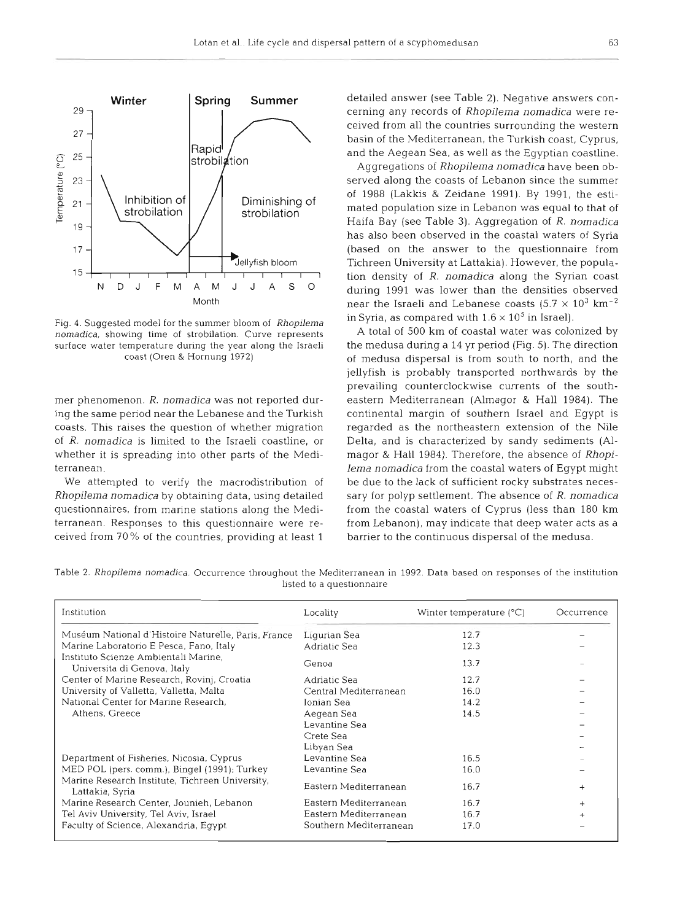

Fig. 4. Suggested model for the summer bloom of **Rhopilema**  nomadica, showing time of strobilation. Curve represents surface water temperature during the year along the Israeli coast (Oren & Hornung 1972)

mer phenomenon. *R. nomadica* was not reported during the same period near the Lebanese and the Turkish coasts. This raises the question of whether migration of R. *nomadica* is limited to the Israeli coastline, or whether it is spreading into other parts of the Mediterranean.

We attempted to verify the macrodistribution of *Rhopilema nomadica* by obtaining data, using detailed questionnaires, from marine stations along the Mediterranean. Responses to this questionnaire were received from 70 % of the countries, providing at least 1 detailed answer (see Table **2).** Negative answers concerning any records of *Rhopilema nomadica* were received from all the countries surrounding the western basin of the Mediterranean, the Turkish coast, Cyprus, and the Aegean Sea, as well as the Egyptian coastline.

in Syria, as compared with  $1.6 \times 10^5$  in Israel). Aggregations of *Rhopilema nomadica* have been observed along the coasts of Lebanon since the summer of 1988 (Lakkis & Zeidane 1991). By 1991, the estimated population size in Lebanon was equal to that of Haifa Bay (see Table **3).** Aggregation of *R. nomadica*  has also been observed in the coastal waters of Syria (based on the answer to the questionnaire from Tichreen University at Lattakia). However, the population density of R. *nomadica* along the Syrian coast D J F M A M J J A S O during 1991 was lower than the densities observed<br>Month mear the Israeli and Lebanese coasts  $(5.7 \times 10^3 \text{ km}^{-2})$ near the Israeli and Lebanese coasts (5.7  $\times$  10 $^3$  km $^{-2}$ 

> A total of 500 km of coastal water was colonized by the medusa during a 14 yr period (Fig. 5). The direction of medusa dispersal is from south to north, and the jellyfish is probably transported northwards by the prevailing counterclockwise currents of the southeastern Mediterranean (Almagor & Hall 1984). The continental margin of southern Israel and Egypt is regarded as the northeastern extension of the Nile Delta, and is characterized by sandy sediments **(Al**magor & Hall 1984). Therefore, the absence of *Rhopilema nomadica* from the coastal waters of Egypt might be due to the lack of sufficient rocky substrates necessary for polyp settlement. The absence of *R. nomadica*  from the coastal waters of Cyprus (less than 180 km from Lebanon), may indicate that deep water acts as a barrier to the continuous dispersal of the medusa.

| Institution                                                         | Locality               | Winter temperature $(^{\circ}C)$ | Occurrence |
|---------------------------------------------------------------------|------------------------|----------------------------------|------------|
| Muséum National d'Histoire Naturelle, Paris, France                 | Ligurian Sea           | 12.7                             |            |
| Marine Laboratorio E Pesca, Fano, Italy                             | Adriatic Sea           | 12.3                             |            |
| Instituto Scienze Ambientali Marine,<br>Universita di Genova, Italy | Genoa                  | 13.7                             |            |
| Center of Marine Research, Rovinj, Croatia                          | Adriatic Sea           | 12.7                             |            |
| University of Valletta, Valletta, Malta                             | Central Mediterranean  | 16.0                             |            |
| National Center for Marine Research.                                | Ionian Sea             | 14.2                             |            |
| Athens, Greece                                                      | Aegean Sea             | 14.5                             |            |
|                                                                     | Levantine Sea          |                                  |            |
|                                                                     | Crete Sea              |                                  |            |
|                                                                     | Libyan Sea             |                                  |            |
| Department of Fisheries, Nicosia, Cyprus                            | Levantine Sea          | 16.5                             |            |
| MED POL (pers. comm.), Bingel (1991); Turkey                        | Levantine Sea          | 16.0                             |            |
| Marine Research Institute, Tichreen University,<br>Lattakia, Syria  | Eastern Mediterranean  | 16.7                             |            |
| Marine Research Center, Jounieh, Lebanon                            | Eastern Mediterranean  | 16.7                             |            |
| Tel Aviv University, Tel Aviv, Israel                               | Eastern Mediterranean  | 16.7                             |            |
| Faculty of Science, Alexandria, Egypt                               | Southern Mediterranean | 17.0                             |            |

Table 2. Rhopilema nomadica. Occurrence throughout the Mediterranean in 1992. Data based on responses of the institution Listed to a questionnaire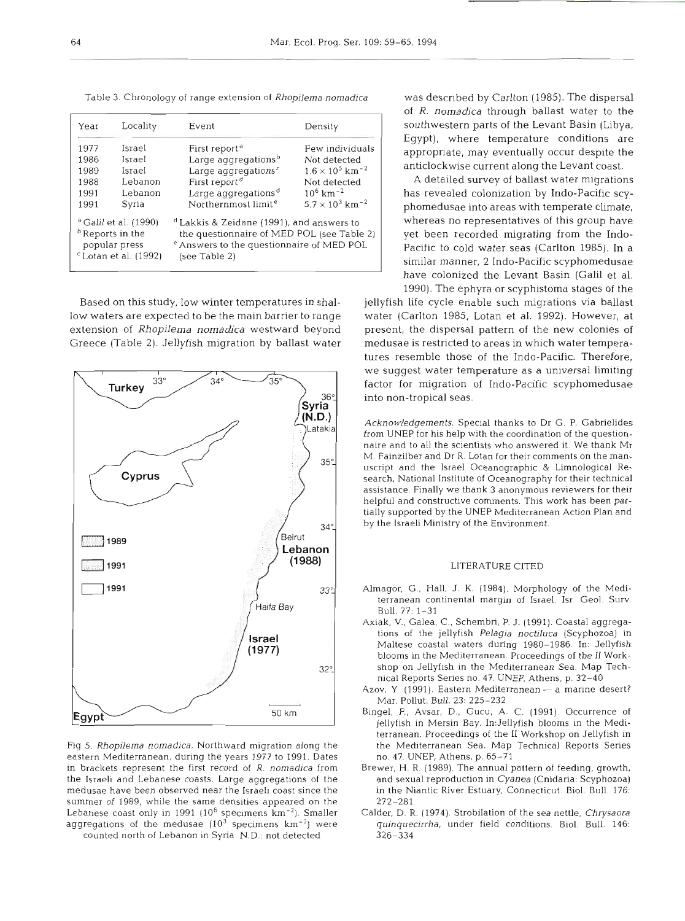Table 3. Chronology of range extension of Rhopilema nornadica was described by Carlton (1985). The dispersal

| Year                                                                                                        | Locality | Event                                                                                                                                                                       | Density                            |  |
|-------------------------------------------------------------------------------------------------------------|----------|-----------------------------------------------------------------------------------------------------------------------------------------------------------------------------|------------------------------------|--|
| 1977                                                                                                        | Israel   | First report <sup>a</sup>                                                                                                                                                   | Few individuals                    |  |
| 1986                                                                                                        | Israel   | Large aggregations <sup>b</sup>                                                                                                                                             | Not detected                       |  |
| 1989                                                                                                        | Israel   | Large aggregations <sup>c</sup>                                                                                                                                             | $1.6 \times 10^5$ km <sup>-2</sup> |  |
| 1988                                                                                                        | Lebanon  | First report <sup>d</sup>                                                                                                                                                   | Not defected                       |  |
| 1991                                                                                                        | Lebanon  | Large aggregations <sup>d</sup>                                                                                                                                             | $10^6$ km <sup>-2</sup>            |  |
| 1991                                                                                                        | Syria    | Northernmost limit <sup>e</sup>                                                                                                                                             | $5.7 \times 10^3$ km <sup>-2</sup> |  |
| <sup>a</sup> Galil et al. (1990)<br><sup>b</sup> Reports in the<br>popular press<br>$c$ Lotan et al. (1992) |          | <sup>d</sup> Lakkis & Zeidane (1991), and answers to<br>the questionnaire of MED POL (see Table 2)<br><sup>e</sup> Answers to the questionnaire of MED POL<br>(see Table 2) |                                    |  |

low waters are expected to be the main barrier to range water (Carlton 1985, Lotan et al. 1992). However, at extension of *Rhopilema nomadica* westward beyond present, the dispersal pattern of the new colonies of Greece (Table 2). Jellyfish migration by ballast water medusae is restricted to areas in which water tempera-



Fig 5. Rhopilema nomadica. Northward migration along the eastern Mediterranean, during the years 1977 to 1991. Dates in brackets represent the first record of  $R$ . nomadica from the Israeli and Lebanese coasts. Large aggregations of the medusae have been observed near the Israeli coast since the summer of 1989, while the same densities appeared on the Lebanese coast only in 1991 (10<sup>6</sup> specimens km<sup>-2</sup>). Smaller aggregations of the medusae  $(10^3 \text{ specimens } km^{-2})$  were

counted north of Lebanon in Syria. N.D.: not detected

of R. *nomadica* through ballast water to the southwestern parts of the Levant Basin (Libya, Egypt), where temperature conditions are appropriate, may eventually occur despite the anticlockwise current along the Levant coast.

A detailed survey of ballast water migrations has revealed colonization by Indo-Pacific scyphomedusae into areas with temperate climate, whereas no representatives of this group have yet been recorded migrating from the Indo-Pacific to cold water seas (Carlton 1985). In a similar manner, 2 Indo-Pacific scyphomedusae have colonized the Levant Basin (Galil et al. 1990). The ephyra or scyphistoma stages of the

Based on this study, low winter temperatures in shal- jellyfish life cycle enable such migrations via ballast tures resemble those of the Indo-Pacific. Therefore, we suggest water temperature as a universal limiting factor for migration of Indo-Pacific scyphomedusae into non-tropical seas.

> Acknowledgements. Special thanks to Dr G. P. Gabrielides from UNEP for his help with the coordination of the questionnaire and to all the scientists who answered it. We thank Mr M. Fainzilber and Dr R. Lotan for their comments on the man-35<sup>o</sup> uscript and the Israel Oceanographic & Limnological Research, National Institute of Oceanography for their technical assistance Finally we thank **3** anonymous reviewers for their helpful and constructive comments. This work has been partially supported by the UNEP Mediterranean Action Plan and by the Israeli Ministry of the Environment.

#### LITERATURE CITED

- Almagor, G., Hall, J. K. (1984). Morphology of the Mediterranean continental margin of Israel. Isr. Geol. Surv. Bull. 77: 1-31
- Axiak, V., Galea, C., Schembri, P. J. (1991). Coastal aggregations of the jellyfish Pelagia noctiluca (Scyphozoa) in Maltese coastal waters during 1980-1986. In: Jellyfish blooms in the Mediterranean. Proceedings of the **I1** Workshop on Jellyfish in the Mediterranean Sea. Map Technical Reports Series no. 47. UNEP, Athens, p. 32-40
- Azov, Y (1991). Eastern Mediterranean a marine desert? Mar. Pollut. Bull. 23: 225-232
- Bingel, F., Avsar, D., Gucu, A. C. (1991). Occurrence of jellyfish in Mersin Bay. 1n:Jellyfish blooms in the Mediterranean. Proceedings of the I1 Workshop on Jellyfish in the Mediterranean Sea. Map Technical Reports Series no. 47. UNEP, Athens, p. 65-71
- Brewer, H. R. (1989). The annual pattern of feeding, growth, and sexual reproduction in Cyanea (Cnidaria: Scyphozoa) in the Niantic River Estuary, Connecticut. Biol. Bull. 176: 272-281
- Calder, D. R. (1974). Strobilation of the sea nettle, Chrysaora quinquecirrha, under field conditions. Biol. Bull. 146: 326-334